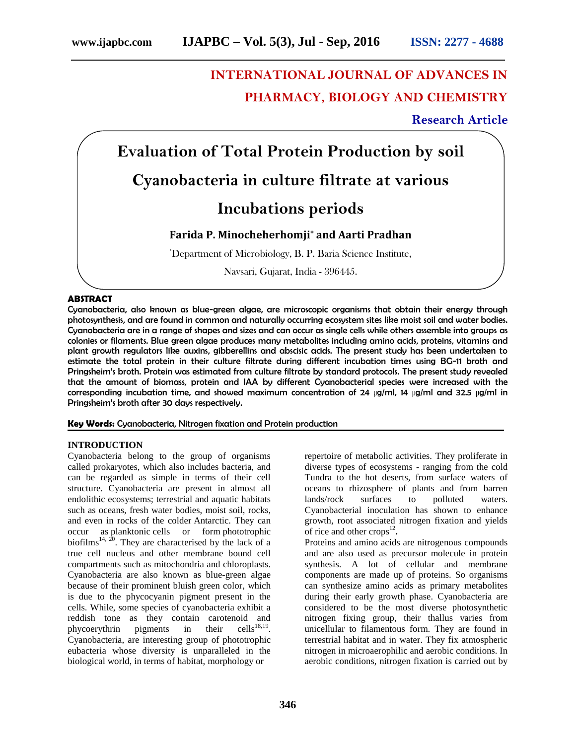# **INTERNATIONAL JOURNAL OF ADVANCES IN PHARMACY, BIOLOGY AND CHEMISTRY**

# **Research Article**

**Evaluation of Total Protein Production by soil Cyanobacteria in culture filtrate at various Incubations periods**

# **Farida P. Minocheherhomji\* and Aarti Pradhan**

**\***Department of Microbiology, B. P. Baria Science Institute,

Navsari, Gujarat, India - 396445.

# **ABSTRACT**

Cyanobacteria, also known as blue-green algae, are microscopic organisms that obtain their energy through photosynthesis, and are found in common and naturally occurring ecosystem sites like moist soil and water bodies. Cyanobacteria are in a range of shapes and sizes and can occur as single cells while others assemble into groups as colonies or filaments. Blue green algae produces many metabolites including amino acids, proteins, vitamins and plant growth regulators like auxins, gibberellins and abscisic acids. The present study has been undertaken to estimate the total protein in their culture filtrate during different incubation times using BG-11 broth and Pringsheim's broth. Protein was estimated from culture filtrate by standard protocols. The present study revealed that the amount of biomass, protein and IAA by different Cyanobacterial species were increased with the corresponding incubation time, and showed maximum concentration of 24 μg/ml, 14 μg/ml and 32.5 μg/ml in Pringsheim's broth after 30 days respectively.

**Key Words:** Cyanobacteria, Nitrogen fixation and Protein production

#### **INTRODUCTION**

Cyanobacteria belong to the group of organisms called prokaryotes, which also includes bacteria, and can be regarded as simple in terms of their cell structure. Cyanobacteria are present in almost all endolithic ecosystems; terrestrial and aquatic habitats such as oceans, fresh water bodies, moist soil, rocks, and even in rocks of the colder Antarctic. They can occur as planktonic cells or form phototrophic biofilms<sup>14, 20</sup>. They are characterised by the lack of a true cell nucleus and other membrane bound cell compartments such as mitochondria and chloroplasts. Cyanobacteria are also known as blue-green algae because of their prominent bluish green color, which is due to the phycocyanin pigment present in the cells. While, some species of cyanobacteria exhibit a reddish tone as they contain carotenoid and phycoerythrin pigments in their  $\text{cells}^{18,19}$ . Cyanobacteria, are interesting group of phototrophic eubacteria whose diversity is unparalleled in the biological world, in terms of habitat, morphology or

repertoire of metabolic activities. They proliferate in diverse types of ecosystems - ranging from the cold Tundra to the hot deserts, from surface waters of oceans to rhizosphere of plants and from barren lands/rock surfaces to polluted waters. Cyanobacterial inoculation has shown to enhance growth, root associated nitrogen fixation and yields of rice and other  $\c{c}$  crops<sup>12</sup>.

Proteins and amino acids are nitrogenous compounds and are also used as precursor molecule in protein synthesis. A lot of cellular and membrane components are made up of proteins. So organisms can synthesize amino acids as primary metabolites during their early growth phase. Cyanobacteria are considered to be the most diverse photosynthetic nitrogen fixing group, their thallus varies from unicellular to filamentous form. They are found in terrestrial habitat and in water. They fix atmospheric nitrogen in microaerophilic and aerobic conditions. In aerobic conditions, nitrogen fixation is carried out by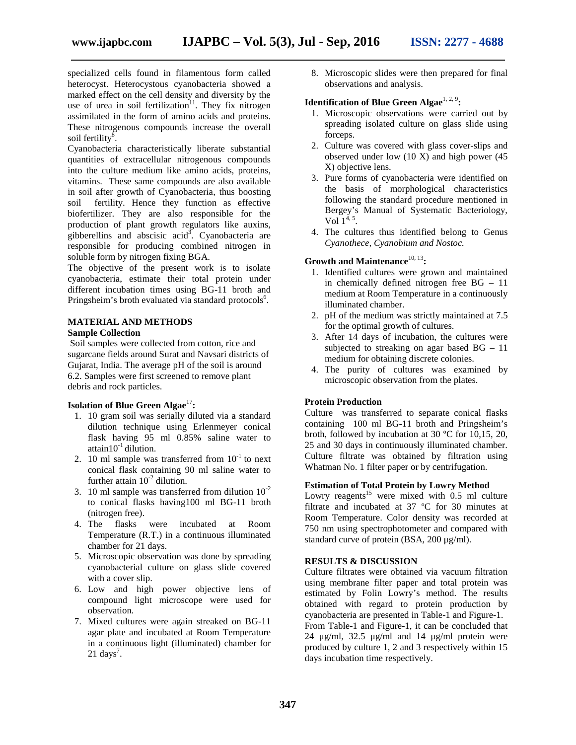specialized cells found in filamentous form called heterocyst. Heterocystous cyanobacteria showed a marked effect on the cell density and diversity by the use of urea in soil fertilization<sup>11</sup>. They fix nitrogen assimilated in the form of amino acids and proteins. These nitrogenous compounds increase the overall soil fertility $\overline{8}$ .

Cyanobacteria characteristically liberate substantial quantities of extracellular nitrogenous compounds into the culture medium like amino acids, proteins, vitamins. These same compounds are also available in soil after growth of Cyanobacteria, thus boosting soil fertility. Hence they function as effective biofertilizer. They are also responsible for the production of plant growth regulators like auxins, gibberellins and abscisic acid<sup>3</sup>. Cyanobacteria are responsible for producing combined nitrogen in soluble form by nitrogen fixing BGA.

The objective of the present work is to isolate cyanobacteria, estimate their total protein under different incubation times using BG-11 broth and Pringsheim's broth evaluated via standard protocols<sup>6</sup>.

#### **MATERIAL AND METHODS Sample Collection**

Soil samples were collected from cotton, rice and sugarcane fields around Surat and Navsari districts of Gujarat, India. The average pH of the soil is around 6.2. Samples were first screened to remove plant debris and rock particles.

# **Isolation of Blue Green Algae**<sup>17</sup>:

- 1. 10 gram soil was serially diluted via a standard dilution technique using Erlenmeyer conical flask having 95 ml 0.85% saline water to attain10 $^{-1}$  dilution.
- 2. 10 ml sample was transferred from  $10^{-1}$  to next conical flask containing 90 ml saline water to further attain  $10^{-2}$  dilution.
- 3. 10 ml sample was transferred from dilution  $10^{-2}$ to conical flasks having100 ml BG-11 broth (nitrogen free).
- 4. The flasks were incubated at Room Temperature (R.T.) in a continuous illuminated chamber for 21 days.
- 5. Microscopic observation was done by spreading cyanobacterial culture on glass slide covered with a cover slip.
- 6. Low and high power objective lens of compound light microscope were used for observation.
- 7. Mixed cultures were again streaked on BG-11 agar plate and incubated at Room Temperature in a continuous light (illuminated) chamber for  $21 \text{ days}^7$ .

8. Microscopic slides were then prepared for final observations and analysis.

#### **Identification of Blue Green Algae**<sup>1, 2, 9</sup>:

- 1. Microscopic observations were carried out by spreading isolated culture on glass slide using forceps.
- 2. Culture was covered with glass cover-slips and observed under low (10 X) and high power (45 X) objective lens.
- 3. Pure forms of cyanobacteria were identified on the basis of morphological characteristics following the standard procedure mentioned in Bergey's Manual of Systematic Bacteriology,  $Vol[1^{4, 5}]$ .
- 4. The cultures thus identified belong to Genus *Cyanothece, Cyanobium and Nostoc.*

# **Growth and Maintenance**10, 13**:**

- 1. Identified cultures were grown and maintained in chemically defined nitrogen free BG – 11 medium at Room Temperature in a continuously illuminated chamber.
- 2. pH of the medium was strictly maintained at 7.5 for the optimal growth of cultures.
- 3. After 14 days of incubation, the cultures were subjected to streaking on agar based  $BG - 11$ medium for obtaining discrete colonies.
- 4. The purity of cultures was examined by microscopic observation from the plates.

# **Protein Production**

Culture was transferred to separate conical flasks containing 100 ml BG-11 broth and Pringsheim's broth, followed by incubation at 30 ºC for 10,15, 20, 25 and 30 days in continuously illuminated chamber. Culture filtrate was obtained by filtration using Whatman No. 1 filter paper or by centrifugation.

#### **Estimation of Total Protein by Lowry Method**

Lowry reagents<sup>15</sup> were mixed with  $0.5$  ml culture filtrate and incubated at 37 ºC for 30 minutes at Room Temperature. Color density was recorded at 750 nm using spectrophotometer and compared with standard curve of protein (BSA, 200 μg/ml).

#### **RESULTS & DISCUSSION**

Culture filtrates were obtained via vacuum filtration using membrane filter paper and total protein was estimated by Folin Lowry's method. The results obtained with regard to protein production by cyanobacteria are presented in Table-1 and Figure-1. From Table-1 and Figure-1, it can be concluded that 24 μg/ml, 32.5 μg/ml and 14 μg/ml protein were produced by culture 1, 2 and 3 respectively within 15 days incubation time respectively.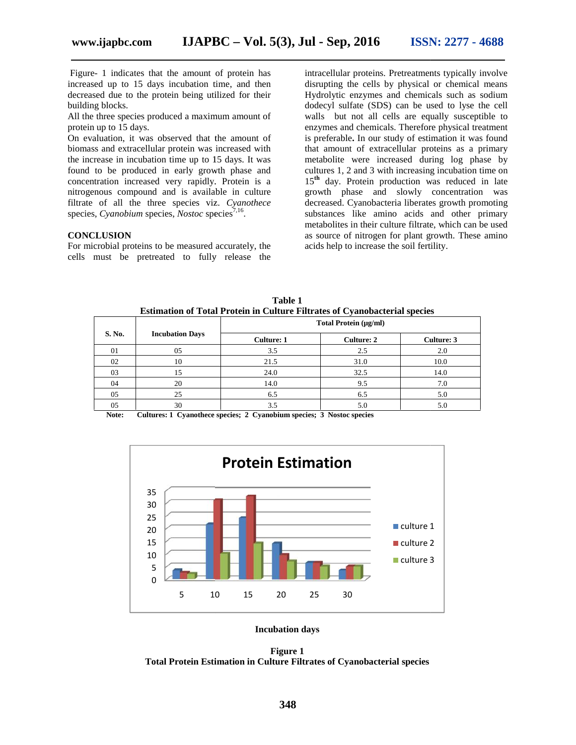Figure- 1 indicates that the amount of protein has Figure- 1 indicates that the amount of protein has<br>increased up to 15 days incubation time, and then decreased due to the protein being utilized for their building blocks.

All the three species produced a maximum amount of protein up to 15 days.

On evaluation, it was observed that the amount of biomass and extracellular protein was increased with the increase in incubation time up to 15 days. It was found to be produced in early growth phase and concentration increased very rapidly. Protein is a nitrogenous compound and is available in culture filtrate of all the three species viz. *Cyanothece* species, *Cyanobium* species, *Nostoc* species<sup>7,16</sup>. decreased due to the protein being utilized for their building blocks.<br>All the three species produced a maximum amount of protein up to 15 days.<br>On evaluation, it was observed that the amount of biomass and extracellular p

#### **CONCLUSION**

For microbial proteins to be measured accurately, the cells must be pretreated to fully release the

intracellular proteins. Pretreatments typically involve disrupting the cells by physical or chemical means Hydrolytic enzymes and chemicals such as sodium dodecyl sulfate (SDS) can be used to lyse the cell walls but not all cells are equally susceptible to enzymes and chemicals. Therefore physical treatment is preferable**.** In our study of estimation it was found that amount of extracellular proteins as a primary metabolite were increased during log phase by cultures 1, 2 and 3 with increasing incubation time on 15**th** day. Protein production was reduced in late growth phase and slowly concentration was decreased. Cyanobacteria liberates growth promoting substances like amino acids and other primary metabolites in their culture filtrate, which can be used as source of nitrogen for plant growth. These amino acids help to increase the soil fertility. dicates that the amount of protein has<br>
to 15 days incubation time, and then distruping the cells by physical or chemical means<br>
to the protein being utilized for their<br>
Hydrolytic enzymes and chemicals such as sodium<br>
ss metabolites in their culture filtrate, which can be<br>as source of nitrogen for plant growth. These an<br>acids help to increase the soil fertility.

**S. No. Incubation Days Total Protein (μg/ml) Total Culture: 1 Culture: 2 Culture: 3** 01 05 3.5 2.5 2.0 02 10 10 21.5  $31.0$  10.0 03  $\vert$  15 24.0  $\vert$  32.5  $\vert$  14.0  $04$  | 20 | 14.0 | 9.5 | 7.0 05  $\vert$  25 6.5 6.5 6.5 5.0 05  $\vert$  30  $\vert$  3.5  $\vert$  5.0  $\vert$  5.0 Culture: 2 05 3.5 2.5 2.0<br>
0 21.5 31.0 10.0<br>
15 24.0 32.5 14.0<br>
20 14.0 9.5 7.0<br>
25 6.5 6.5 5.0<br>
30 3.5 5.0 5.0 05 3.5 2.5 2.0<br>
10 21.5 31.0 10.0<br>
15 24.0 32.5 14.0<br>
20 14.0 9.5 7.0<br>
25 6.5 6.5 5.0<br>
30 3.5 5.0 5.0

**Table 1 Estimation of Total Protein in Culture Filtrates of Cyanobacterial species Table Filtrates of** 

**Note: Cultures: 1 Cyanothece species; 2 Cyanobium species; 3 Nostoc species 3** 



**Incubation days**

**Figure 1**